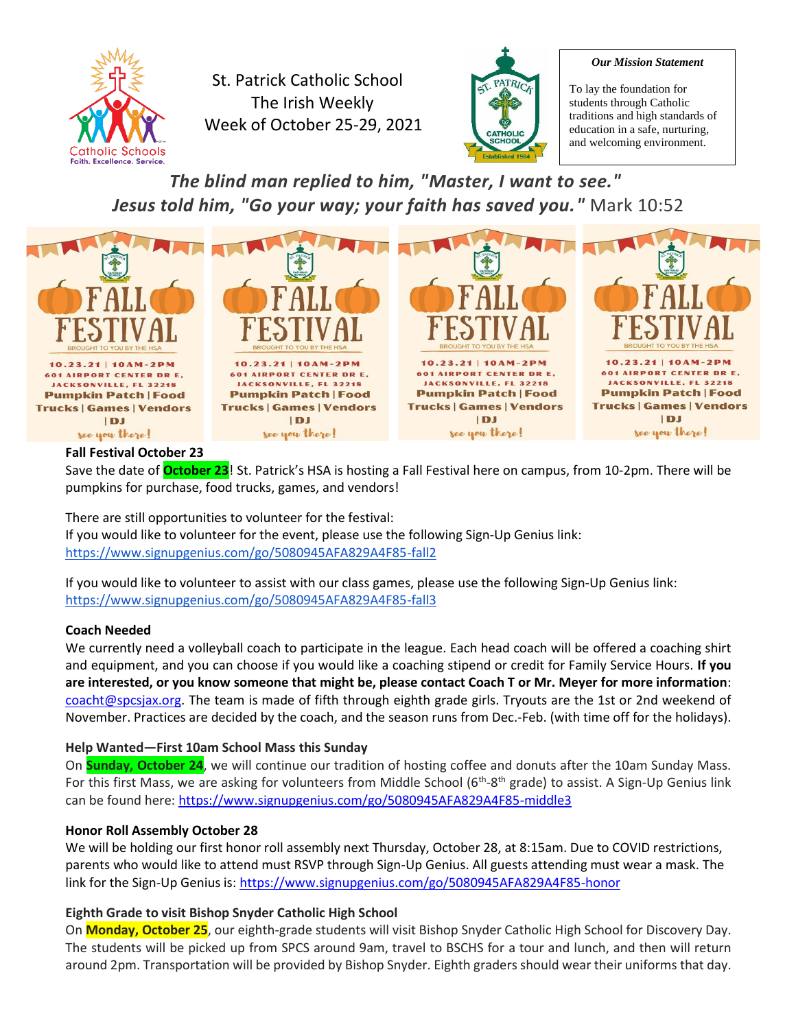

St. Patrick Catholic School The Irish Weekly Week of October 25-29, 2021



#### *Our Mission Statement*

To lay the foundation for students through Catholic traditions and high standards of education in a safe, nurturing, and welcoming environment.

*The blind man replied to him, "Master, I want to see." Jesus told him, "Go your way; your faith has saved you."* Mark 10:52



### **Fall Festival October 23**

Save the date of **October 23**! St. Patrick's HSA is hosting a Fall Festival here on campus, from 10-2pm. There will be pumpkins for purchase, food trucks, games, and vendors!

There are still opportunities to volunteer for the festival: If you would like to volunteer for the event, please use the following Sign-Up Genius link: <https://www.signupgenius.com/go/5080945AFA829A4F85-fall2>

If you would like to volunteer to assist with our class games, please use the following Sign-Up Genius link: <https://www.signupgenius.com/go/5080945AFA829A4F85-fall3>

### **Coach Needed**

We currently need a volleyball coach to participate in the league. Each head coach will be offered a coaching shirt and equipment, and you can choose if you would like a coaching stipend or credit for Family Service Hours. **If you are interested, or you know someone that might be, please contact Coach T or Mr. Meyer for more information**: [coacht@spcsjax.org.](mailto:coacht@spcsjax.org) The team is made of fifth through eighth grade girls. Tryouts are the 1st or 2nd weekend of November. Practices are decided by the coach, and the season runs from Dec.-Feb. (with time off for the holidays).

### **Help Wanted—First 10am School Mass this Sunday**

On **Sunday, October 24**, we will continue our tradition of hosting coffee and donuts after the 10am Sunday Mass. For this first Mass, we are asking for volunteers from Middle School (6<sup>th</sup>-8<sup>th</sup> grade) to assist. A Sign-Up Genius link can be found here:<https://www.signupgenius.com/go/5080945AFA829A4F85-middle3>

### **Honor Roll Assembly October 28**

We will be holding our first honor roll assembly next Thursday, October 28, at 8:15am. Due to COVID restrictions, parents who would like to attend must RSVP through Sign-Up Genius. All guests attending must wear a mask. The link for the Sign-Up Genius is:<https://www.signupgenius.com/go/5080945AFA829A4F85-honor>

### **Eighth Grade to visit Bishop Snyder Catholic High School**

On **Monday, October 25**, our eighth-grade students will visit Bishop Snyder Catholic High School for Discovery Day. The students will be picked up from SPCS around 9am, travel to BSCHS for a tour and lunch, and then will return around 2pm. Transportation will be provided by Bishop Snyder. Eighth graders should wear their uniforms that day.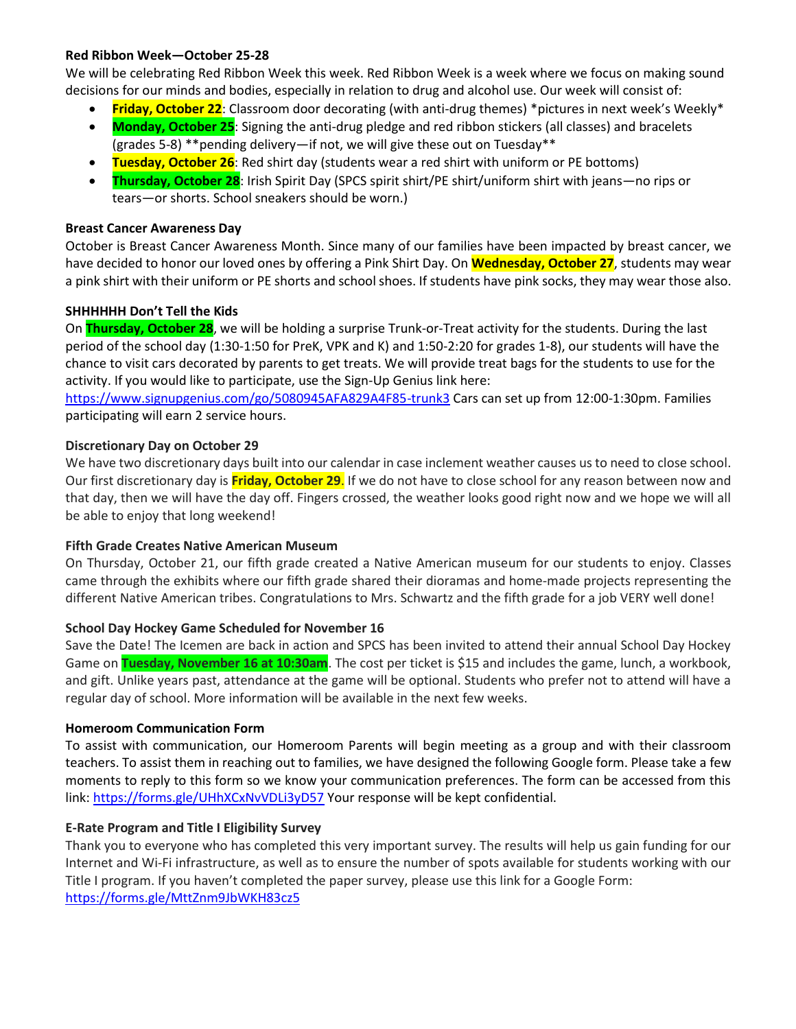### **Red Ribbon Week—October 25-28**

We will be celebrating Red Ribbon Week this week. Red Ribbon Week is a week where we focus on making sound decisions for our minds and bodies, especially in relation to drug and alcohol use. Our week will consist of:

- **Friday, October 22**: Classroom door decorating (with anti-drug themes) \*pictures in next week's Weekly\*
- **Monday, October 25**: Signing the anti-drug pledge and red ribbon stickers (all classes) and bracelets (grades 5-8) \*\*pending delivery—if not, we will give these out on Tuesday\*\*
- **Tuesday, October 26**: Red shirt day (students wear a red shirt with uniform or PE bottoms)
- **Thursday, October 28**: Irish Spirit Day (SPCS spirit shirt/PE shirt/uniform shirt with jeans—no rips or tears—or shorts. School sneakers should be worn.)

#### **Breast Cancer Awareness Day**

October is Breast Cancer Awareness Month. Since many of our families have been impacted by breast cancer, we have decided to honor our loved ones by offering a Pink Shirt Day. On **Wednesday, October 27**, students may wear a pink shirt with their uniform or PE shorts and school shoes. If students have pink socks, they may wear those also.

#### **SHHHHHH Don't Tell the Kids**

On **Thursday, October 28**, we will be holding a surprise Trunk-or-Treat activity for the students. During the last period of the school day (1:30-1:50 for PreK, VPK and K) and 1:50-2:20 for grades 1-8), our students will have the chance to visit cars decorated by parents to get treats. We will provide treat bags for the students to use for the activity. If you would like to participate, use the Sign-Up Genius link here:

<https://www.signupgenius.com/go/5080945AFA829A4F85-trunk3> Cars can set up from 12:00-1:30pm. Families participating will earn 2 service hours.

#### **Discretionary Day on October 29**

We have two discretionary days built into our calendar in case inclement weather causes us to need to close school. Our first discretionary day is **Friday, October 29**. If we do not have to close school for any reason between now and that day, then we will have the day off. Fingers crossed, the weather looks good right now and we hope we will all be able to enjoy that long weekend!

### **Fifth Grade Creates Native American Museum**

On Thursday, October 21, our fifth grade created a Native American museum for our students to enjoy. Classes came through the exhibits where our fifth grade shared their dioramas and home-made projects representing the different Native American tribes. Congratulations to Mrs. Schwartz and the fifth grade for a job VERY well done!

#### **School Day Hockey Game Scheduled for November 16**

Save the Date! The Icemen are back in action and SPCS has been invited to attend their annual School Day Hockey Game on **Tuesday, November 16 at 10:30am**. The cost per ticket is \$15 and includes the game, lunch, a workbook, and gift. Unlike years past, attendance at the game will be optional. Students who prefer not to attend will have a regular day of school. More information will be available in the next few weeks.

### **Homeroom Communication Form**

To assist with communication, our Homeroom Parents will begin meeting as a group and with their classroom teachers. To assist them in reaching out to families, we have designed the following Google form. Please take a few moments to reply to this form so we know your communication preferences. The form can be accessed from this link[: https://forms.gle/UHhXCxNvVDLi3yD57](https://forms.gle/UHhXCxNvVDLi3yD57) Your response will be kept confidential.

### **E-Rate Program and Title I Eligibility Survey**

Thank you to everyone who has completed this very important survey. The results will help us gain funding for our Internet and Wi-Fi infrastructure, as well as to ensure the number of spots available for students working with our Title I program. If you haven't completed the paper survey, please use this link for a Google Form: <https://forms.gle/MttZnm9JbWKH83cz5>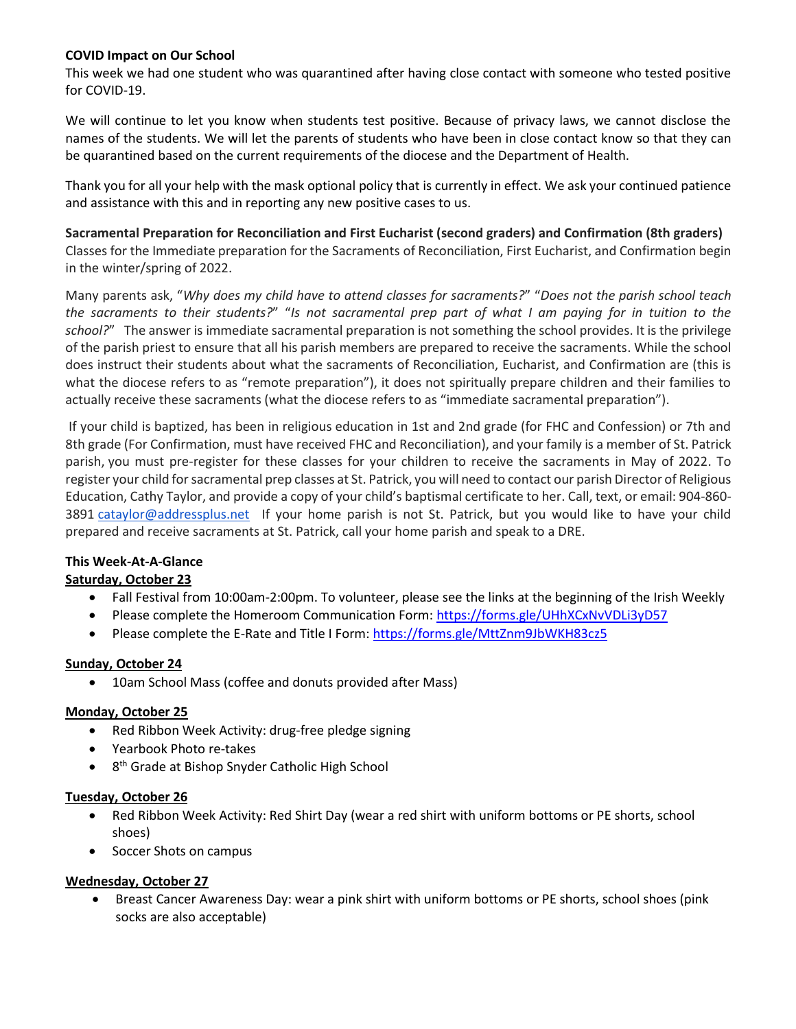# **COVID Impact on Our School**

This week we had one student who was quarantined after having close contact with someone who tested positive for COVID-19.

We will continue to let you know when students test positive. Because of privacy laws, we cannot disclose the names of the students. We will let the parents of students who have been in close contact know so that they can be quarantined based on the current requirements of the diocese and the Department of Health.

Thank you for all your help with the mask optional policy that is currently in effect. We ask your continued patience and assistance with this and in reporting any new positive cases to us.

**Sacramental Preparation for Reconciliation and First Eucharist (second graders) and Confirmation (8th graders)** Classes for the Immediate preparation for the Sacraments of Reconciliation, First Eucharist, and Confirmation begin in the winter/spring of 2022.

Many parents ask, "*Why does my child have to attend classes for sacraments?*" "*Does not the parish school teach the sacraments to their students?*" "*Is not sacramental prep part of what I am paying for in tuition to the school?*" The answer is immediate sacramental preparation is not something the school provides. It is the privilege of the parish priest to ensure that all his parish members are prepared to receive the sacraments. While the school does instruct their students about what the sacraments of Reconciliation, Eucharist, and Confirmation are (this is what the diocese refers to as "remote preparation"), it does not spiritually prepare children and their families to actually receive these sacraments (what the diocese refers to as "immediate sacramental preparation").

If your child is baptized, has been in religious education in 1st and 2nd grade (for FHC and Confession) or 7th and 8th grade (For Confirmation, must have received FHC and Reconciliation), and your family is a member of St. Patrick parish, you must pre-register for these classes for your children to receive the sacraments in May of 2022. To register your child for sacramental prep classes at St. Patrick, you will need to contact our parish Director of Religious Education, Cathy Taylor, and provide a copy of your child's baptismal certificate to her. Call, text, or email: 904-860- 3891 [cataylor@addressplus.net](mailto:cataylor@addressplus.net) If your home parish is not St. Patrick, but you would like to have your child prepared and receive sacraments at St. Patrick, call your home parish and speak to a DRE.

# **This Week-At-A-Glance**

# **Saturday, October 23**

- Fall Festival from 10:00am-2:00pm. To volunteer, please see the links at the beginning of the Irish Weekly
- Please complete the Homeroom Communication Form:<https://forms.gle/UHhXCxNvVDLi3yD57>
- Please complete the E-Rate and Title I Form:<https://forms.gle/MttZnm9JbWKH83cz5>

### **Sunday, October 24**

• 10am School Mass (coffee and donuts provided after Mass)

### **Monday, October 25**

- Red Ribbon Week Activity: drug-free pledge signing
- Yearbook Photo re-takes
- 8<sup>th</sup> Grade at Bishop Snyder Catholic High School

### **Tuesday, October 26**

- Red Ribbon Week Activity: Red Shirt Day (wear a red shirt with uniform bottoms or PE shorts, school shoes)
- Soccer Shots on campus

# **Wednesday, October 27**

• Breast Cancer Awareness Day: wear a pink shirt with uniform bottoms or PE shorts, school shoes (pink socks are also acceptable)